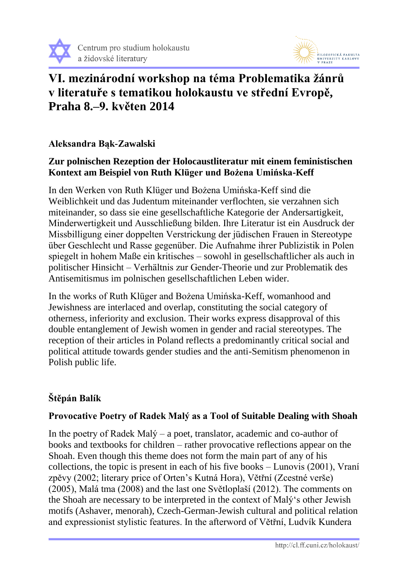



# **VI. mezinárodní workshop na téma Problematika žánrů v literatuře s tematikou holokaustu ve střední Evropě, Praha 8.–9. květen 2014**

## **Aleksandra Bąk-Zawalski**

## **Zur polnischen Rezeption der Holocaustliteratur mit einem feministischen Kontext am Beispiel von Ruth Klüger und Bożena Umińska-Keff**

In den Werken von Ruth Klüger und Bożena Umińska-Keff sind die Weiblichkeit und das Judentum miteinander verflochten, sie verzahnen sich miteinander, so dass sie eine gesellschaftliche Kategorie der Andersartigkeit, Minderwertigkeit und Ausschließung bilden. Ihre Literatur ist ein Ausdruck der Missbilligung einer doppelten Verstrickung der jüdischen Frauen in Stereotype über Geschlecht und Rasse gegenüber. Die Aufnahme ihrer Publizistik in Polen spiegelt in hohem Maße ein kritisches – sowohl in gesellschaftlicher als auch in politischer Hinsicht – Verhältnis zur Gender-Theorie und zur Problematik des Antisemitismus im polnischen gesellschaftlichen Leben wider.

In the works of Ruth Klüger and Bożena Umińska-Keff, womanhood and Jewishness are interlaced and overlap, constituting the social category of otherness, inferiority and exclusion. Their works express disapproval of this double entanglement of Jewish women in gender and racial stereotypes. The reception of their articles in Poland reflects a predominantly critical social and political attitude towards gender studies and the anti-Semitism phenomenon in Polish public life.

## **Štěpán Balík**

## **Provocative Poetry of Radek Malý as a Tool of Suitable Dealing with Shoah**

In the poetry of Radek Malý – a poet, translator, academic and co-author of books and textbooks for children – rather provocative reflections appear on the Shoah. Even though this theme does not form the main part of any of his collections, the topic is present in each of his five books – Lunovis (2001), Vraní zpěvy (2002; literary price of Orten's Kutná Hora), Větřní (Zcestné verše) (2005), Malá tma (2008) and the last one Světloplaší (2012). The comments on the Shoah are necessary to be interpreted in the context of Malý's other Jewish motifs (Ashaver, menorah), Czech-German-Jewish cultural and political relation and expressionist stylistic features. In the afterword of Větřní, Ludvík Kundera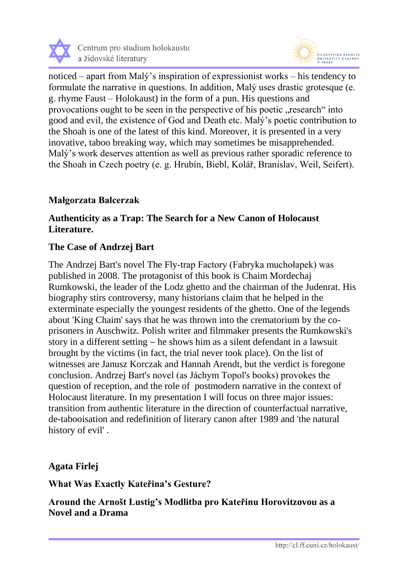



noticed – apart from Malý's inspiration of expressionist works – his tendency to formulate the narrative in questions. In addition, Malý uses drastic grotesque (e. g. rhyme Faust – Holokaust) in the form of a pun. His questions and provocations ought to be seen in the perspective of his poetic "research" into good and evil, the existence of God and Death etc. Malý's poetic contribution to the Shoah is one of the latest of this kind. Moreover, it is presented in a very inovative, taboo breaking way, which may sometimes be misapprehended. Malý's work deserves attention as well as previous rather sporadic reference to the Shoah in Czech poetry (e. g. Hrubín, Biebl, Kolář, Branislav, Weil, Seifert).

## **Małgorzata Balcerzak**

### **Authenticity as a Trap: The Search for a New Canon of Holocaust Literature.**

### **The Case of Andrzej Bart**

The Andrzej Bart's novel The Fly-trap Factory (Fabryka muchołapek) was published in 2008. The protagonist of this book is Chaim Mordechaj Rumkowski, the leader of the Lodz ghetto and the chairman of the Judenrat. His biography stirs controversy, many historians claim that he helped in the exterminate especially the youngest residents of the ghetto. One of the legends about 'King Chaim' says that he was thrown into the crematorium by the coprisoners in Auschwitz. Polish writer and filmmaker presents the Rumkowski's story in a different setting – he shows him as a silent defendant in a lawsuit brought by the victims (in fact, the trial never took place). On the list of witnesses are Janusz Korczak and Hannah Arendt, but the verdict is foregone conclusion. Andrzej Bart's novel (as Jáchym Topol's books) provokes the question of reception, and the role of postmodern narrative in the context of Holocaust literature. In my presentation I will focus on three major issues: transition from authentic literature in the direction of counterfactual narrative, de-tabooisation and redefinition of literary canon after 1989 and 'the natural history of evil' .

#### **Agata Firlej**

**What Was Exactly Kateřina's Gesture?** 

**Around the Arnošt Lustig's Modlitba pro Kateřinu Horovitzovou as a Novel and a Drama**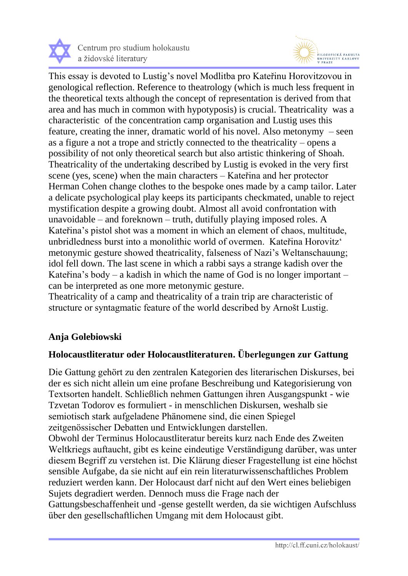



This essay is devoted to Lustig's novel Modlitba pro Kateřinu Horovitzovou in genological reflection. Reference to theatrology (which is much less frequent in the theoretical texts although the concept of representation is derived from that area and has much in common with hypotyposis) is crucial. Theatricality was a characteristic of the concentration camp organisation and Lustig uses this feature, creating the inner, dramatic world of his novel. Also metonymy – seen as a figure a not a trope and strictly connected to the theatricality – opens a possibility of not only theoretical search but also artistic thinkering of Shoah. Theatricality of the undertaking described by Lustig is evoked in the very first scene (yes, scene) when the main characters – Kateřina and her protector Herman Cohen change clothes to the bespoke ones made by a camp tailor. Later a delicate psychological play keeps its participants checkmated, unable to reject mystification despite a growing doubt. Almost all avoid confrontation with unavoidable – and foreknown – truth, dutifully playing imposed roles. A Kateřina's pistol shot was a moment in which an element of chaos, multitude, unbridledness burst into a monolithic world of overmen. Kateřina Horovitz' metonymic gesture showed theatricality, falseness of Nazi's Weltanschauung; idol fell down. The last scene in which a rabbi says a strange kadish over the Kateřina's body – a kadish in which the name of God is no longer important – can be interpreted as one more metonymic gesture.

Theatricality of a camp and theatricality of a train trip are characteristic of structure or syntagmatic feature of the world described by Arnošt Lustig.

## **Anja Golebiowski**

#### **Holocaustliteratur oder Holocaustliteraturen. Überlegungen zur Gattung**

Die Gattung gehört zu den zentralen Kategorien des literarischen Diskurses, bei der es sich nicht allein um eine profane Beschreibung und Kategorisierung von Textsorten handelt. Schließlich nehmen Gattungen ihren Ausgangspunkt - wie Tzvetan Todorov es formuliert - in menschlichen Diskursen, weshalb sie semiotisch stark aufgeladene Phänomene sind, die einen Spiegel zeitgenössischer Debatten und Entwicklungen darstellen.

Obwohl der Terminus Holocaustliteratur bereits kurz nach Ende des Zweiten Weltkriegs auftaucht, gibt es keine eindeutige Verständigung darüber, was unter diesem Begriff zu verstehen ist. Die Klärung dieser Fragestellung ist eine höchst sensible Aufgabe, da sie nicht auf ein rein literaturwissenschaftliches Problem reduziert werden kann. Der Holocaust darf nicht auf den Wert eines beliebigen Sujets degradiert werden. Dennoch muss die Frage nach der Gattungsbeschaffenheit und -gense gestellt werden, da sie wichtigen Aufschluss über den gesellschaftlichen Umgang mit dem Holocaust gibt.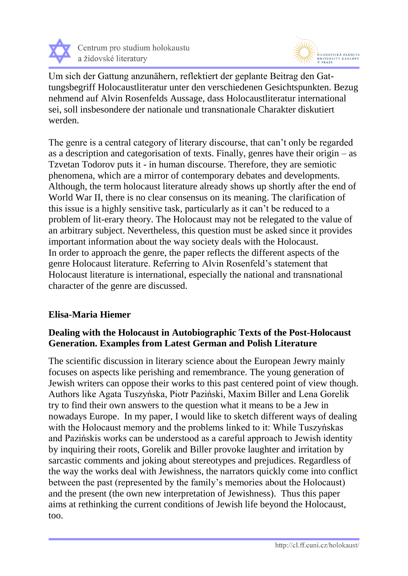



Um sich der Gattung anzunähern, reflektiert der geplante Beitrag den Gattungsbegriff Holocaustliteratur unter den verschiedenen Gesichtspunkten. Bezug nehmend auf Alvin Rosenfelds Aussage, dass Holocaustliteratur international sei, soll insbesondere der nationale und transnationale Charakter diskutiert werden.

The genre is a central category of literary discourse, that can't only be regarded as a description and categorisation of texts. Finally, genres have their origin – as Tzvetan Todorov puts it - in human discourse. Therefore, they are semiotic phenomena, which are a mirror of contemporary debates and developments. Although, the term holocaust literature already shows up shortly after the end of World War II, there is no clear consensus on its meaning. The clarification of this issue is a highly sensitive task, particularly as it can't be reduced to a problem of lit-erary theory. The Holocaust may not be relegated to the value of an arbitrary subject. Nevertheless, this question must be asked since it provides important information about the way society deals with the Holocaust. In order to approach the genre, the paper reflects the different aspects of the genre Holocaust literature. Referring to Alvin Rosenfeld's statement that Holocaust literature is international, especially the national and transnational character of the genre are discussed.

## **Elisa-Maria Hiemer**

## **Dealing with the Holocaust in Autobiographic Texts of the Post-Holocaust Generation. Examples from Latest German and Polish Literature**

The scientific discussion in literary science about the European Jewry mainly focuses on aspects like perishing and remembrance. The young generation of Jewish writers can oppose their works to this past centered point of view though. Authors like Agata Tuszyńska, Piotr Paziński, Maxim Biller and Lena Gorelik try to find their own answers to the question what it means to be a Jew in nowadays Europe. In my paper, I would like to sketch different ways of dealing with the Holocaust memory and the problems linked to it: While Tuszyńskas and Pazińskis works can be understood as a careful approach to Jewish identity by inquiring their roots, Gorelik and Biller provoke laughter and irritation by sarcastic comments and joking about stereotypes and prejudices. Regardless of the way the works deal with Jewishness, the narrators quickly come into conflict between the past (represented by the family's memories about the Holocaust) and the present (the own new interpretation of Jewishness). Thus this paper aims at rethinking the current conditions of Jewish life beyond the Holocaust, too.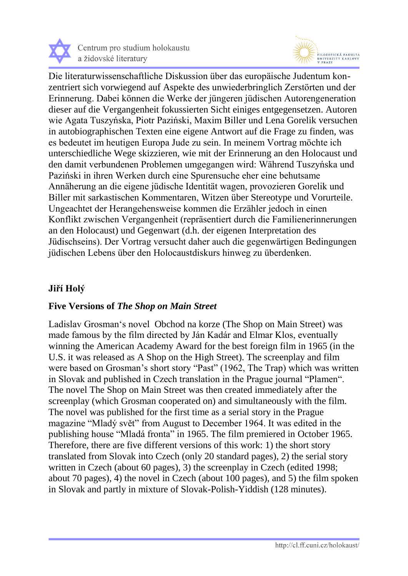



Die literaturwissenschaftliche Diskussion über das europäische Judentum konzentriert sich vorwiegend auf Aspekte des unwiederbringlich Zerstörten und der Erinnerung. Dabei können die Werke der jüngeren jüdischen Autorengeneration dieser auf die Vergangenheit fokussierten Sicht einiges entgegensetzen. Autoren wie Agata Tuszyńska, Piotr Paziński, Maxim Biller und Lena Gorelik versuchen in autobiographischen Texten eine eigene Antwort auf die Frage zu finden, was es bedeutet im heutigen Europa Jude zu sein. In meinem Vortrag möchte ich unterschiedliche Wege skizzieren, wie mit der Erinnerung an den Holocaust und den damit verbundenen Problemen umgegangen wird: Während Tuszyńska und Paziński in ihren Werken durch eine Spurensuche eher eine behutsame Annäherung an die eigene jüdische Identität wagen, provozieren Gorelik und Biller mit sarkastischen Kommentaren, Witzen über Stereotype und Vorurteile. Ungeachtet der Herangehensweise kommen die Erzähler jedoch in einen Konflikt zwischen Vergangenheit (repräsentiert durch die Familienerinnerungen an den Holocaust) und Gegenwart (d.h. der eigenen Interpretation des Jüdischseins). Der Vortrag versucht daher auch die gegenwärtigen Bedingungen jüdischen Lebens über den Holocaustdiskurs hinweg zu überdenken.

#### **Jiří Holý**

## **Five Versions of** *The Shop on Main Street*

Ladislav Grosman's novel Obchod na korze (The Shop on Main Street) was made famous by the film directed by Ján Kadár and Elmar Klos, eventually winning the American Academy Award for the best foreign film in 1965 (in the U.S. it was released as A Shop on the High Street). The screenplay and film were based on Grosman's short story "Past" (1962, The Trap) which was written in Slovak and published in Czech translation in the Prague journal "Plamen". The novel The Shop on Main Street was then created immediately after the screenplay (which Grosman cooperated on) and simultaneously with the film. The novel was published for the first time as a serial story in the Prague magazine "Mladý svět" from August to December 1964. It was edited in the publishing house "Mladá fronta" in 1965. The film premiered in October 1965. Therefore, there are five different versions of this work: 1) the short story translated from Slovak into Czech (only 20 standard pages), 2) the serial story written in Czech (about 60 pages), 3) the screenplay in Czech (edited 1998; about 70 pages), 4) the novel in Czech (about 100 pages), and 5) the film spoken in Slovak and partly in mixture of Slovak-Polish-Yiddish (128 minutes).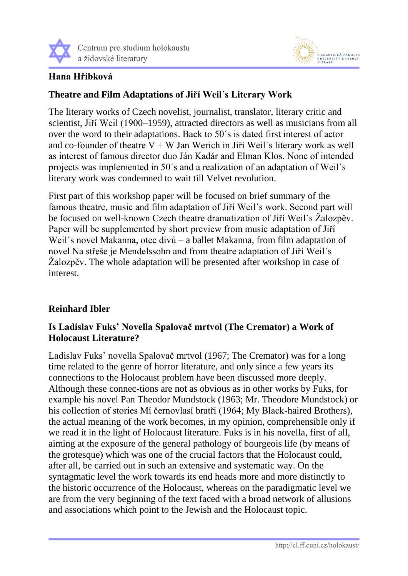



## **Hana Hříbková**

## **Theatre and Film Adaptations of Jiří Weil´s Literary Work**

The literary works of Czech novelist, journalist, translator, literary critic and scientist, Jiří Weil (1900–1959), attracted directors as well as musicians from all over the word to their adaptations. Back to 50´s is dated first interest of actor and co-founder of theatre  $V + W$  Jan Werich in Jiří Weil's literary work as well as interest of famous director duo Ján Kadár and Elman Klos. None of intended projects was implemented in 50´s and a realization of an adaptation of Weil´s literary work was condemned to wait till Velvet revolution.

First part of this workshop paper will be focused on brief summary of the famous theatre, music and film adaptation of Jiří Weil´s work. Second part will be focused on well-known Czech theatre dramatization of Jiří Weil´s Žalozpěv. Paper will be supplemented by short preview from music adaptation of Jiří Weil´s novel Makanna, otec divů – a ballet Makanna, from film adaptation of novel Na střeše je Mendelssohn and from theatre adaptation of Jiří Weil´s Žalozpěv. The whole adaptation will be presented after workshop in case of interest.

## **Reinhard Ibler**

## **Is Ladislav Fuks' Novella Spalovač mrtvol (The Cremator) a Work of Holocaust Literature?**

Ladislav Fuks' novella Spalovač mrtvol (1967; The Cremator) was for a long time related to the genre of horror literature, and only since a few years its connections to the Holocaust problem have been discussed more deeply. Although these connec-tions are not as obvious as in other works by Fuks, for example his novel Pan Theodor Mundstock (1963; Mr. Theodore Mundstock) or his collection of stories Mí černovlasí bratři (1964; My Black-haired Brothers), the actual meaning of the work becomes, in my opinion, comprehensible only if we read it in the light of Holocaust literature. Fuks is in his novella, first of all, aiming at the exposure of the general pathology of bourgeois life (by means of the grotesque) which was one of the crucial factors that the Holocaust could, after all, be carried out in such an extensive and systematic way. On the syntagmatic level the work towards its end heads more and more distinctly to the historic occurrence of the Holocaust, whereas on the paradigmatic level we are from the very beginning of the text faced with a broad network of allusions and associations which point to the Jewish and the Holocaust topic.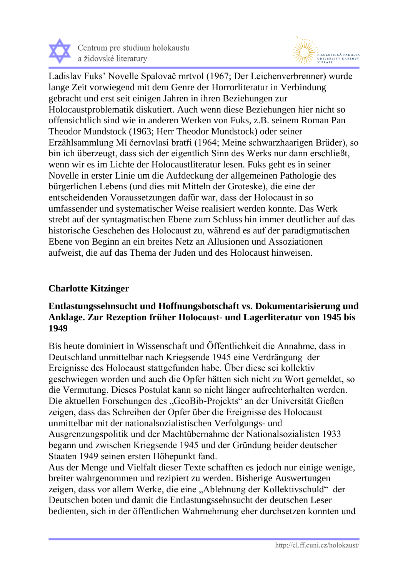



Ladislav Fuks' Novelle Spalovač mrtvol (1967; Der Leichenverbrenner) wurde lange Zeit vorwiegend mit dem Genre der Horrorliteratur in Verbindung gebracht und erst seit einigen Jahren in ihren Beziehungen zur Holocaustproblematik diskutiert. Auch wenn diese Beziehungen hier nicht so offensichtlich sind wie in anderen Werken von Fuks, z.B. seinem Roman Pan Theodor Mundstock (1963; Herr Theodor Mundstock) oder seiner Erzählsammlung Mí černovlasí bratři (1964; Meine schwarzhaarigen Brüder), so bin ich überzeugt, dass sich der eigentlich Sinn des Werks nur dann erschließt, wenn wir es im Lichte der Holocaustliteratur lesen. Fuks geht es in seiner Novelle in erster Linie um die Aufdeckung der allgemeinen Pathologie des bürgerlichen Lebens (und dies mit Mitteln der Groteske), die eine der entscheidenden Voraussetzungen dafür war, dass der Holocaust in so umfassender und systematischer Weise realisiert werden konnte. Das Werk strebt auf der syntagmatischen Ebene zum Schluss hin immer deutlicher auf das historische Geschehen des Holocaust zu, während es auf der paradigmatischen Ebene von Beginn an ein breites Netz an Allusionen und Assoziationen aufweist, die auf das Thema der Juden und des Holocaust hinweisen.

#### **Charlotte Kitzinger**

## **Entlastungssehnsucht und Hoffnungsbotschaft vs. Dokumentarisierung und Anklage. Zur Rezeption früher Holocaust- und Lagerliteratur von 1945 bis 1949**

Bis heute dominiert in Wissenschaft und Öffentlichkeit die Annahme, dass in Deutschland unmittelbar nach Kriegsende 1945 eine Verdrängung der Ereignisse des Holocaust stattgefunden habe. Über diese sei kollektiv geschwiegen worden und auch die Opfer hätten sich nicht zu Wort gemeldet, so die Vermutung. Dieses Postulat kann so nicht länger aufrechterhalten werden. Die aktuellen Forschungen des "GeoBib-Projekts" an der Universität Gießen zeigen, dass das Schreiben der Opfer über die Ereignisse des Holocaust unmittelbar mit der nationalsozialistischen Verfolgungs- und Ausgrenzungspolitik und der Machtübernahme der Nationalsozialisten 1933 begann und zwischen Kriegsende 1945 und der Gründung beider deutscher Staaten 1949 seinen ersten Höhepunkt fand.

Aus der Menge und Vielfalt dieser Texte schafften es jedoch nur einige wenige, breiter wahrgenommen und rezipiert zu werden. Bisherige Auswertungen zeigen, dass vor allem Werke, die eine "Ablehnung der Kollektivschuld" der Deutschen boten und damit die Entlastungssehnsucht der deutschen Leser bedienten, sich in der öffentlichen Wahrnehmung eher durchsetzen konnten und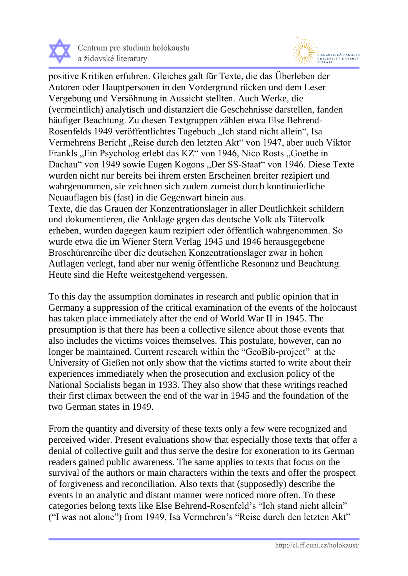



positive Kritiken erfuhren. Gleiches galt für Texte, die das Überleben der Autoren oder Hauptpersonen in den Vordergrund rücken und dem Leser Vergebung und Versöhnung in Aussicht stellten. Auch Werke, die (vermeintlich) analytisch und distanziert die Geschehnisse darstellen, fanden häufiger Beachtung. Zu diesen Textgruppen zählen etwa Else Behrend-Rosenfelds 1949 veröffentlichtes Tagebuch "Ich stand nicht allein", Isa Vermehrens Bericht "Reise durch den letzten Akt" von 1947, aber auch Viktor Frankls "Ein Psycholog erlebt das KZ" von 1946, Nico Rosts "Goethe in Dachau" von 1949 sowie Eugen Kogons "Der SS-Staat" von 1946. Diese Texte wurden nicht nur bereits bei ihrem ersten Erscheinen breiter rezipiert und wahrgenommen, sie zeichnen sich zudem zumeist durch kontinuierliche Neuauflagen bis (fast) in die Gegenwart hinein aus.

Texte, die das Grauen der Konzentrationslager in aller Deutlichkeit schildern und dokumentieren, die Anklage gegen das deutsche Volk als Tätervolk erheben, wurden dagegen kaum rezipiert oder öffentlich wahrgenommen. So wurde etwa die im Wiener Stern Verlag 1945 und 1946 herausgegebene Broschürenreihe über die deutschen Konzentrationslager zwar in hohen Auflagen verlegt, fand aber nur wenig öffentliche Resonanz und Beachtung. Heute sind die Hefte weitestgehend vergessen.

To this day the assumption dominates in research and public opinion that in Germany a suppression of the critical examination of the events of the holocaust has taken place immediately after the end of World War II in 1945. The presumption is that there has been a collective silence about those events that also includes the victims voices themselves. This postulate, however, can no longer be maintained. Current research within the "GeoBib-project" at the University of Gießen not only show that the victims started to write about their experiences immediately when the prosecution and exclusion policy of the National Socialists began in 1933. They also show that these writings reached their first climax between the end of the war in 1945 and the foundation of the two German states in 1949.

From the quantity and diversity of these texts only a few were recognized and perceived wider. Present evaluations show that especially those texts that offer a denial of collective guilt and thus serve the desire for exoneration to its German readers gained public awareness. The same applies to texts that focus on the survival of the authors or main characters within the texts and offer the prospect of forgiveness and reconciliation. Also texts that (supposedly) describe the events in an analytic and distant manner were noticed more often. To these categories belong texts like Else Behrend-Rosenfeld's "Ich stand nicht allein" ("I was not alone") from 1949, Isa Vermehren's "Reise durch den letzten Akt"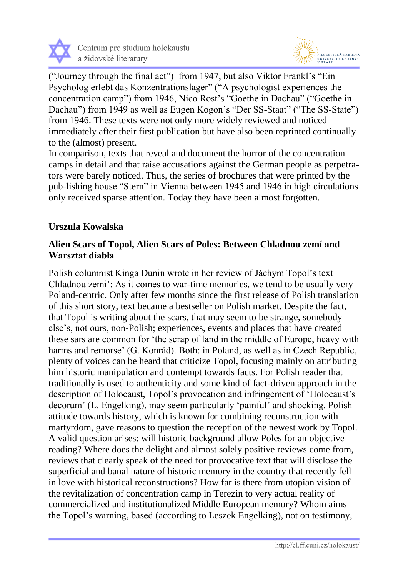



("Journey through the final act") from 1947, but also Viktor Frankl's "Ein Psycholog erlebt das Konzentrationslager" ("A psychologist experiences the concentration camp") from 1946, Nico Rost's "Goethe in Dachau" ("Goethe in Dachau") from 1949 as well as Eugen Kogon's "Der SS-Staat" ("The SS-State") from 1946. These texts were not only more widely reviewed and noticed immediately after their first publication but have also been reprinted continually to the (almost) present.

In comparison, texts that reveal and document the horror of the concentration camps in detail and that raise accusations against the German people as perpetrators were barely noticed. Thus, the series of brochures that were printed by the pub-lishing house "Stern" in Vienna between 1945 and 1946 in high circulations only received sparse attention. Today they have been almost forgotten.

## **Urszula Kowalska**

#### **Alien Scars of Topol, Alien Scars of Poles: Between Chladnou zemí and Warsztat diabła**

Polish columnist Kinga Dunin wrote in her review of Jáchym Topol's text Chladnou zemi': As it comes to war-time memories, we tend to be usually very Poland-centric. Only after few months since the first release of Polish translation of this short story, text became a bestseller on Polish market. Despite the fact, that Topol is writing about the scars, that may seem to be strange, somebody else's, not ours, non-Polish; experiences, events and places that have created these sars are common for 'the scrap of land in the middle of Europe, heavy with harms and remorse' (G. Konrád). Both: in Poland, as well as in Czech Republic, plenty of voices can be heard that criticize Topol, focusing mainly on attributing him historic manipulation and contempt towards facts. For Polish reader that traditionally is used to authenticity and some kind of fact-driven approach in the description of Holocaust, Topol's provocation and infringement of 'Holocaust's decorum' (L. Engelking), may seem particularly 'painful' and shocking. Polish attitude towards history, which is known for combining reconstruction with martyrdom, gave reasons to question the reception of the newest work by Topol. A valid question arises: will historic background allow Poles for an objective reading? Where does the delight and almost solely positive reviews come from, reviews that clearly speak of the need for provocative text that will disclose the superficial and banal nature of historic memory in the country that recently fell in love with historical reconstructions? How far is there from utopian vision of the revitalization of concentration camp in Terezin to very actual reality of commercialized and institutionalized Middle European memory? Whom aims the Topol's warning, based (according to Leszek Engelking), not on testimony,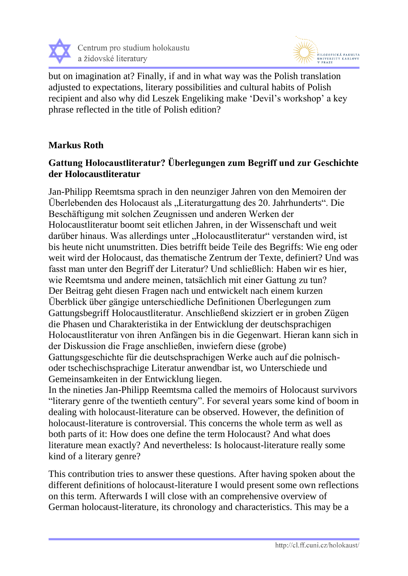



but on imagination at? Finally, if and in what way was the Polish translation adjusted to expectations, literary possibilities and cultural habits of Polish recipient and also why did Leszek Engeliking make 'Devil's workshop' a key phrase reflected in the title of Polish edition?

## **Markus Roth**

## **Gattung Holocaustliteratur? Überlegungen zum Begriff und zur Geschichte der Holocaustliteratur**

Jan-Philipp Reemtsma sprach in den neunziger Jahren von den Memoiren der Überlebenden des Holocaust als "Literaturgattung des 20. Jahrhunderts". Die Beschäftigung mit solchen Zeugnissen und anderen Werken der Holocaustliteratur boomt seit etlichen Jahren, in der Wissenschaft und weit darüber hinaus. Was allerdings unter "Holocaustliteratur" verstanden wird, ist bis heute nicht unumstritten. Dies betrifft beide Teile des Begriffs: Wie eng oder weit wird der Holocaust, das thematische Zentrum der Texte, definiert? Und was fasst man unter den Begriff der Literatur? Und schließlich: Haben wir es hier, wie Reemtsma und andere meinen, tatsächlich mit einer Gattung zu tun? Der Beitrag geht diesen Fragen nach und entwickelt nach einem kurzen Überblick über gängige unterschiedliche Definitionen Überlegungen zum Gattungsbegriff Holocaustliteratur. Anschließend skizziert er in groben Zügen die Phasen und Charakteristika in der Entwicklung der deutschsprachigen Holocaustliteratur von ihren Anfängen bis in die Gegenwart. Hieran kann sich in der Diskussion die Frage anschließen, inwiefern diese (grobe) Gattungsgeschichte für die deutschsprachigen Werke auch auf die polnischoder tschechischsprachige Literatur anwendbar ist, wo Unterschiede und Gemeinsamkeiten in der Entwicklung liegen. In the nineties Jan-Philipp Reemtsma called the memoirs of Holocaust survivors

"literary genre of the twentieth century". For several years some kind of boom in dealing with holocaust-literature can be observed. However, the definition of holocaust-literature is controversial. This concerns the whole term as well as both parts of it: How does one define the term Holocaust? And what does literature mean exactly? And nevertheless: Is holocaust-literature really some kind of a literary genre?

This contribution tries to answer these questions. After having spoken about the different definitions of holocaust-literature I would present some own reflections on this term. Afterwards I will close with an comprehensive overview of German holocaust-literature, its chronology and characteristics. This may be a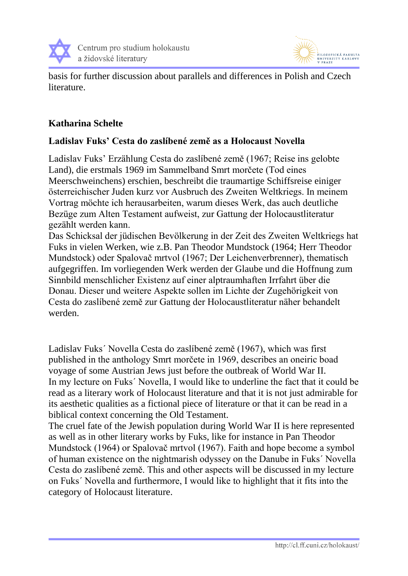



basis for further discussion about parallels and differences in Polish and Czech literature.

## **Katharina Schelte**

### **Ladislav Fuks' Cesta do zaslíbené země as a Holocaust Novella**

Ladislav Fuks' Erzählung Cesta do zaslíbené země (1967; Reise ins gelobte Land), die erstmals 1969 im Sammelband Smrt morčete (Tod eines Meerschweinchens) erschien, beschreibt die traumartige Schiffsreise einiger österreichischer Juden kurz vor Ausbruch des Zweiten Weltkriegs. In meinem Vortrag möchte ich herausarbeiten, warum dieses Werk, das auch deutliche Bezüge zum Alten Testament aufweist, zur Gattung der Holocaustliteratur gezählt werden kann.

Das Schicksal der jüdischen Bevölkerung in der Zeit des Zweiten Weltkriegs hat Fuks in vielen Werken, wie z.B. Pan Theodor Mundstock (1964; Herr Theodor Mundstock) oder Spalovač mrtvol (1967; Der Leichenverbrenner), thematisch aufgegriffen. Im vorliegenden Werk werden der Glaube und die Hoffnung zum Sinnbild menschlicher Existenz auf einer alptraumhaften Irrfahrt über die Donau. Dieser und weitere Aspekte sollen im Lichte der Zugehörigkeit von Cesta do zaslíbené země zur Gattung der Holocaustliteratur näher behandelt werden.

Ladislav Fuks´ Novella Cesta do zaslíbené země (1967), which was first published in the anthology Smrt morčete in 1969, describes an oneiric boad voyage of some Austrian Jews just before the outbreak of World War II. In my lecture on Fuks´ Novella, I would like to underline the fact that it could be read as a literary work of Holocaust literature and that it is not just admirable for its aesthetic qualities as a fictional piece of literature or that it can be read in a biblical context concerning the Old Testament.

The cruel fate of the Jewish population during World War II is here represented as well as in other literary works by Fuks, like for instance in Pan Theodor Mundstock (1964) or Spalovač mrtvol (1967). Faith and hope become a symbol of human existence on the nightmarish odyssey on the Danube in Fuks´ Novella Cesta do zaslíbené země. This and other aspects will be discussed in my lecture on Fuks´ Novella and furthermore, I would like to highlight that it fits into the category of Holocaust literature.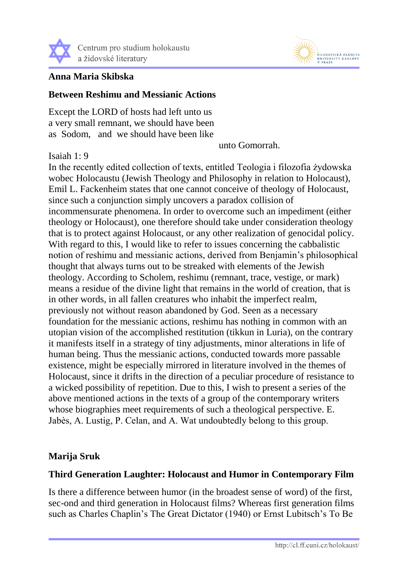



#### **Anna Maria Skibska**

#### **Between Reshimu and Messianic Actions**

Except the LORD of hosts had left unto us a very small remnant, we should have been as Sodom, and we should have been like

unto Gomorrah.

#### Isaiah 1: 9

In the recently edited collection of texts, entitled Teologia i filozofia żydowska wobec Holocaustu (Jewish Theology and Philosophy in relation to Holocaust), Emil L. Fackenheim states that one cannot conceive of theology of Holocaust, since such a conjunction simply uncovers a paradox collision of incommensurate phenomena. In order to overcome such an impediment (either theology or Holocaust), one therefore should take under consideration theology that is to protect against Holocaust, or any other realization of genocidal policy. With regard to this, I would like to refer to issues concerning the cabbalistic notion of reshimu and messianic actions, derived from Benjamin's philosophical thought that always turns out to be streaked with elements of the Jewish theology. According to Scholem, reshimu (remnant, trace, vestige, or mark) means a residue of the divine light that remains in the world of creation, that is in other words, in all fallen creatures who inhabit the imperfect realm, previously not without reason abandoned by God. Seen as a necessary foundation for the messianic actions, reshimu has nothing in common with an utopian vision of the accomplished restitution (tikkun in Luria), on the contrary it manifests itself in a strategy of tiny adjustments, minor alterations in life of human being. Thus the messianic actions, conducted towards more passable existence, might be especially mirrored in literature involved in the themes of Holocaust, since it drifts in the direction of a peculiar procedure of resistance to a wicked possibility of repetition. Due to this, I wish to present a series of the above mentioned actions in the texts of a group of the contemporary writers whose biographies meet requirements of such a theological perspective. E. Jabès, A. Lustig, P. Celan, and A. Wat undoubtedly belong to this group.

#### **Marija Sruk**

#### **Third Generation Laughter: Holocaust and Humor in Contemporary Film**

Is there a difference between humor (in the broadest sense of word) of the first, sec-ond and third generation in Holocaust films? Whereas first generation films such as Charles Chaplin's The Great Dictator (1940) or Ernst Lubitsch's To Be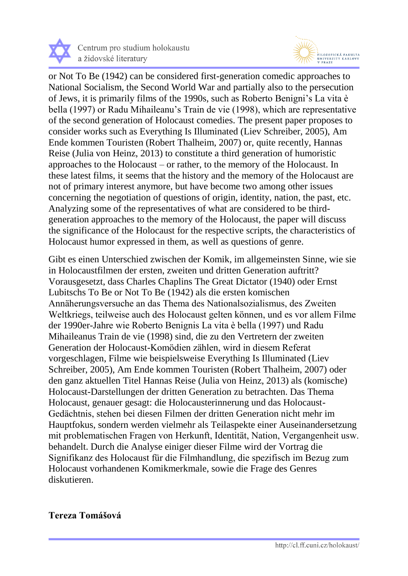



or Not To Be (1942) can be considered first-generation comedic approaches to National Socialism, the Second World War and partially also to the persecution of Jews, it is primarily films of the 1990s, such as Roberto Benigni's La vita è bella (1997) or Radu Mihaileanu's Train de vie (1998), which are representative of the second generation of Holocaust comedies. The present paper proposes to consider works such as Everything Is Illuminated (Liev Schreiber, 2005), Am Ende kommen Touristen (Robert Thalheim, 2007) or, quite recently, Hannas Reise (Julia von Heinz, 2013) to constitute a third generation of humoristic approaches to the Holocaust – or rather, to the memory of the Holocaust. In these latest films, it seems that the history and the memory of the Holocaust are not of primary interest anymore, but have become two among other issues concerning the negotiation of questions of origin, identity, nation, the past, etc. Analyzing some of the representatives of what are considered to be thirdgeneration approaches to the memory of the Holocaust, the paper will discuss the significance of the Holocaust for the respective scripts, the characteristics of Holocaust humor expressed in them, as well as questions of genre.

Gibt es einen Unterschied zwischen der Komik, im allgemeinsten Sinne, wie sie in Holocaustfilmen der ersten, zweiten und dritten Generation auftritt? Vorausgesetzt, dass Charles Chaplins The Great Dictator (1940) oder Ernst Lubitschs To Be or Not To Be (1942) als die ersten komischen Annäherungsversuche an das Thema des Nationalsozialismus, des Zweiten Weltkriegs, teilweise auch des Holocaust gelten können, und es vor allem Filme der 1990er-Jahre wie Roberto Benignis La vita è bella (1997) und Radu Mihaileanus Train de vie (1998) sind, die zu den Vertretern der zweiten Generation der Holocaust-Komödien zählen, wird in diesem Referat vorgeschlagen, Filme wie beispielsweise Everything Is Illuminated (Liev Schreiber, 2005), Am Ende kommen Touristen (Robert Thalheim, 2007) oder den ganz aktuellen Titel Hannas Reise (Julia von Heinz, 2013) als (komische) Holocaust-Darstellungen der dritten Generation zu betrachten. Das Thema Holocaust, genauer gesagt: die Holocausterinnerung und das Holocaust-Gedächtnis, stehen bei diesen Filmen der dritten Generation nicht mehr im Hauptfokus, sondern werden vielmehr als Teilaspekte einer Auseinandersetzung mit problematischen Fragen von Herkunft, Identität, Nation, Vergangenheit usw. behandelt. Durch die Analyse einiger dieser Filme wird der Vortrag die Signifikanz des Holocaust für die Filmhandlung, die spezifisch im Bezug zum Holocaust vorhandenen Komikmerkmale, sowie die Frage des Genres diskutieren.

## **Tereza Tomášová**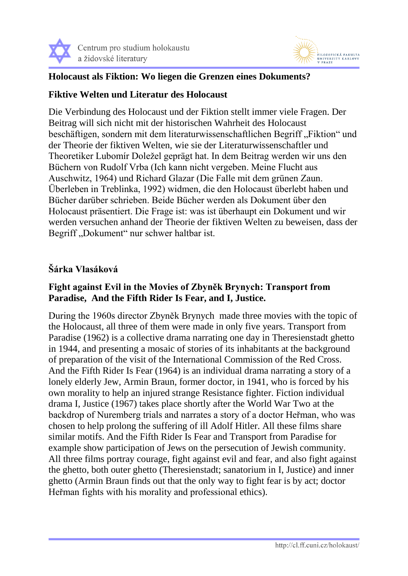



## **Holocaust als Fiktion: Wo liegen die Grenzen eines Dokuments?**

## **Fiktive Welten und Literatur des Holocaust**

Die Verbindung des Holocaust und der Fiktion stellt immer viele Fragen. Der Beitrag will sich nicht mit der historischen Wahrheit des Holocaust beschäftigen, sondern mit dem literaturwissenschaftlichen Begriff "Fiktion" und der Theorie der fiktiven Welten, wie sie der Literaturwissenschaftler und Theoretiker Lubomír Doležel geprägt hat. In dem Beitrag werden wir uns den Büchern von Rudolf Vrba (Ich kann nicht vergeben. Meine Flucht aus Auschwitz, 1964) und Richard Glazar (Die Falle mit dem grünen Zaun. Überleben in Treblinka, 1992) widmen, die den Holocaust überlebt haben und Bücher darüber schrieben. Beide Bücher werden als Dokument über den Holocaust präsentiert. Die Frage ist: was ist überhaupt ein Dokument und wir werden versuchen anhand der Theorie der fiktiven Welten zu beweisen, dass der Begriff "Dokument" nur schwer haltbar ist.

## **Šárka Vlasáková**

## **Fight against Evil in the Movies of Zbyněk Brynych: Transport from Paradise, And the Fifth Rider Is Fear, and I, Justice.**

During the 1960s director Zbyněk Brynych made three movies with the topic of the Holocaust, all three of them were made in only five years. Transport from Paradise (1962) is a collective drama narrating one day in Theresienstadt ghetto in 1944, and presenting a mosaic of stories of its inhabitants at the background of preparation of the visit of the International Commission of the Red Cross. And the Fifth Rider Is Fear (1964) is an individual drama narrating a story of a lonely elderly Jew, Armin Braun, former doctor, in 1941, who is forced by his own morality to help an injured strange Resistance fighter. Fiction individual drama I, Justice (1967) takes place shortly after the World War Two at the backdrop of Nuremberg trials and narrates a story of a doctor Heřman, who was chosen to help prolong the suffering of ill Adolf Hitler. All these films share similar motifs. And the Fifth Rider Is Fear and Transport from Paradise for example show participation of Jews on the persecution of Jewish community. All three films portray courage, fight against evil and fear, and also fight against the ghetto, both outer ghetto (Theresienstadt; sanatorium in I, Justice) and inner ghetto (Armin Braun finds out that the only way to fight fear is by act; doctor Heřman fights with his morality and professional ethics).